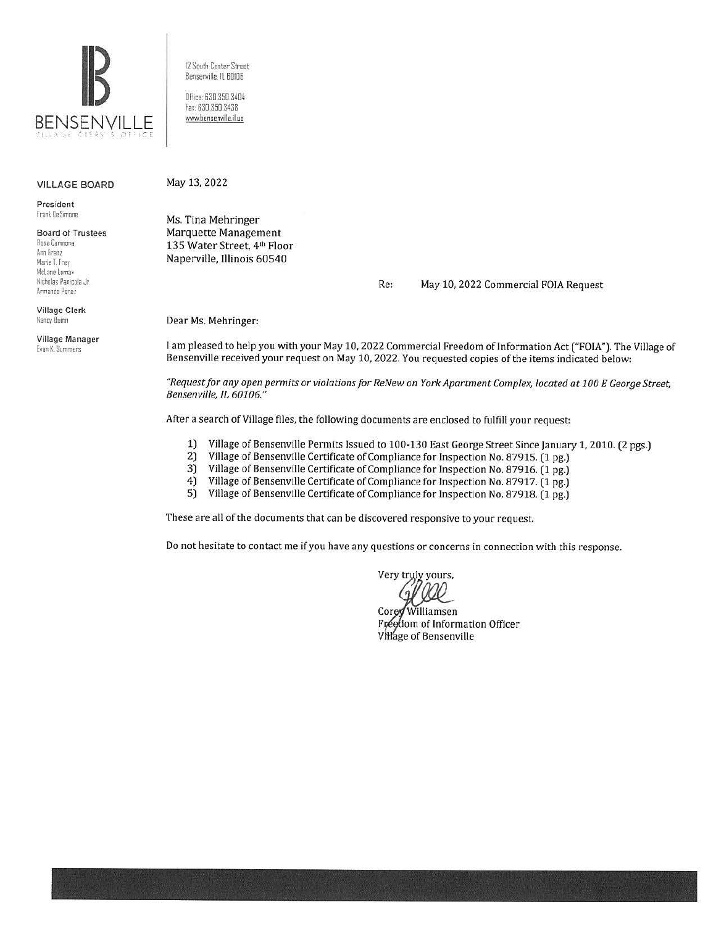

12 South Center Street Bensenville. IL BOIDE Office: 630.350.3404

fax: 630.350.3438 www.bensenville.il.us

#### VILLAGE BOARD

President Frank DeSimone

Board of Trustees Rosa Carmona Ann Fram Marie T. Frey McLane Lomax Nicholas Panicola Jr. Armando Perez

Village Clerk Nancy Quinn

Village Manager Evan K. Summers

May 13, 2022

Ms. Tina Mehringer Marquette Management 135 Water Street, 4th Floor Naperville, Illinois 60540

Re: May 10, 2022 Commercial FOlA Request

Dear Ms. Mehringer:

1 am pleased to help you with your May 10, 2022 Commercial Freedom of Information Act ("FOIA"). The Village of Bensenville received your request on May 10, 2022. You requested copies of the items indicated below:

*"Request for any open permits or violations for Re New on York Apartment Complex, located at 100 E George Street, Bensenville, IL 60106. "* 

After a search of Village files, the following documents are enclosed to fulfill your request:

- 1) Village of Bensenville Permits Issued to 100-130 East George Street Since January 1, 2010. (2 pgs.)<br>2) Village of Bensenville Certificate of Compliance for Inspection No. 87915. (1 pg.)
- 2) Village of Bensenville Certificate of Compliance for Inspection No. 87915. (1 pg.)
- 3) Village of Bensenville Certificate of Compliance for Inspection No. 87916. (1 pg.)
- 4) Village of Bensenville Certificate of Compliance for Inspection No. 87917. (1 pg.)
- 5) Village of Bensenville Certificate of Compliance for Inspection No. 87918. (1 pg.)

These are all of the documents that can be discovered responsive to your request.

Do not hesitate to contact me if you have any questions or concerns in connection with this response.

Very truly yours,

Williamsen  $Core$ Freedom of Information Officer Village of Bensenville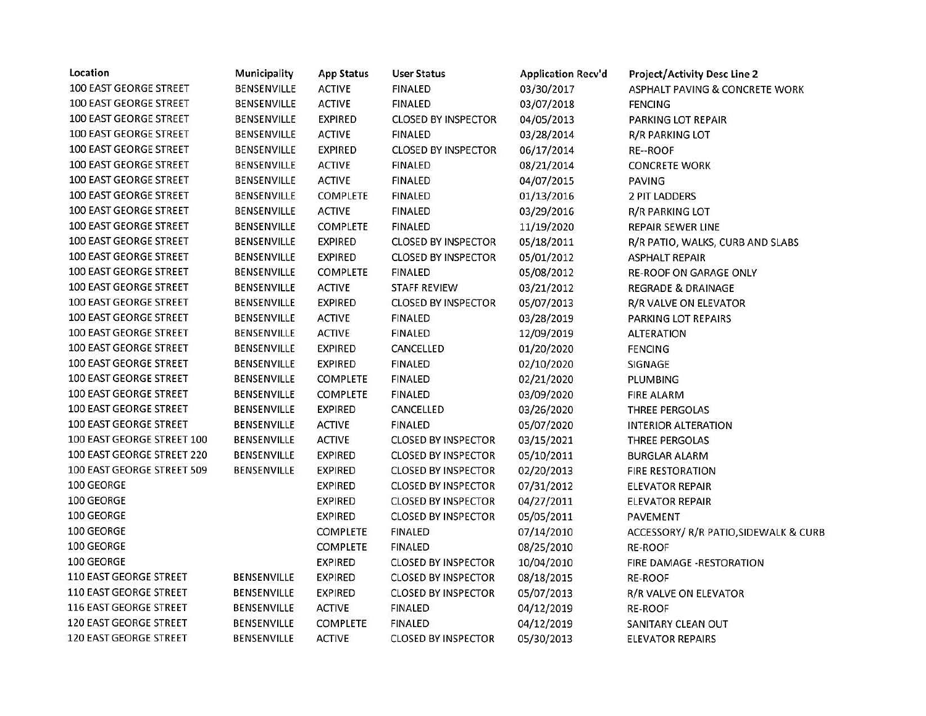| Location                      | Municipality       | <b>App Status</b> | <b>User Status</b>         | <b>Application Recv'd</b> | <b>Project/Activity Desc Line 2</b>   |
|-------------------------------|--------------------|-------------------|----------------------------|---------------------------|---------------------------------------|
| 100 EAST GEORGE STREET        | BENSENVILLE        | <b>ACTIVE</b>     | <b>FINALED</b>             | 03/30/2017                | ASPHALT PAVING & CONCRETE WORK        |
| 100 EAST GEORGE STREET        | BENSENVILLE        | <b>ACTIVE</b>     | <b>FINALED</b>             | 03/07/2018                | <b>FENCING</b>                        |
| <b>100 EAST GEORGE STREET</b> | <b>BENSENVILLE</b> | <b>EXPIRED</b>    | <b>CLOSED BY INSPECTOR</b> | 04/05/2013                | PARKING LOT REPAIR                    |
| <b>100 EAST GEORGE STREET</b> | BENSENVILLE        | <b>ACTIVE</b>     | <b>FINALED</b>             | 03/28/2014                | <b>R/R PARKING LOT</b>                |
| 100 EAST GEORGE STREET        | <b>BENSENVILLE</b> | <b>EXPIRED</b>    | <b>CLOSED BY INSPECTOR</b> | 06/17/2014                | RE--ROOF                              |
| <b>100 EAST GEORGE STREET</b> | BENSENVILLE        | <b>ACTIVE</b>     | <b>FINALED</b>             | 08/21/2014                | <b>CONCRETE WORK</b>                  |
| 100 EAST GEORGE STREET        | BENSENVILLE        | <b>ACTIVE</b>     | <b>FINALED</b>             | 04/07/2015                | <b>PAVING</b>                         |
| 100 EAST GEORGE STREET        | <b>BENSENVILLE</b> | <b>COMPLETE</b>   | <b>FINALED</b>             | 01/13/2016                | 2 PIT LADDERS                         |
| 100 EAST GEORGE STREET        | BENSENVILLE        | <b>ACTIVE</b>     | <b>FINALED</b>             | 03/29/2016                | <b>R/R PARKING LOT</b>                |
| <b>100 EAST GEORGE STREET</b> | BENSENVILLE        | <b>COMPLETE</b>   | <b>FINALED</b>             | 11/19/2020                | <b>REPAIR SEWER LINE</b>              |
| 100 EAST GEORGE STREET        | BENSENVILLE        | <b>EXPIRED</b>    | <b>CLOSED BY INSPECTOR</b> | 05/18/2011                | R/R PATIO, WALKS, CURB AND SLABS      |
| 100 EAST GEORGE STREET        | <b>BENSENVILLE</b> | <b>EXPIRED</b>    | <b>CLOSED BY INSPECTOR</b> | 05/01/2012                | <b>ASPHALT REPAIR</b>                 |
| <b>100 EAST GEORGE STREET</b> | <b>BENSENVILLE</b> | <b>COMPLETE</b>   | <b>FINALED</b>             | 05/08/2012                | <b>RE-ROOF ON GARAGE ONLY</b>         |
| 100 EAST GEORGE STREET        | BENSENVILLE        | <b>ACTIVE</b>     | <b>STAFF REVIEW</b>        | 03/21/2012                | REGRADE & DRAINAGE                    |
| 100 EAST GEORGE STREET        | BENSENVILLE        | <b>EXPIRED</b>    | <b>CLOSED BY INSPECTOR</b> | 05/07/2013                | R/R VALVE ON ELEVATOR                 |
| 100 EAST GEORGE STREET        | <b>BENSENVILLE</b> | <b>ACTIVE</b>     | <b>FINALED</b>             | 03/28/2019                | PARKING LOT REPAIRS                   |
| 100 EAST GEORGE STREET        | <b>BENSENVILLE</b> | <b>ACTIVE</b>     | <b>FINALED</b>             | 12/09/2019                | <b>ALTERATION</b>                     |
| 100 EAST GEORGE STREET        | BENSENVILLE        | <b>EXPIRED</b>    | CANCELLED                  | 01/20/2020                | <b>FENCING</b>                        |
| 100 EAST GEORGE STREET        | <b>BENSENVILLE</b> | <b>EXPIRED</b>    | <b>FINALED</b>             | 02/10/2020                | SIGNAGE                               |
| 100 EAST GEORGE STREET        | BENSENVILLE        | <b>COMPLETE</b>   | <b>FINALED</b>             | 02/21/2020                | PLUMBING                              |
| <b>100 EAST GEORGE STREET</b> | BENSENVILLE        | <b>COMPLETE</b>   | <b>FINALED</b>             | 03/09/2020                | <b>FIRE ALARM</b>                     |
| <b>100 EAST GEORGE STREET</b> | BENSENVILLE        | <b>EXPIRED</b>    | CANCELLED                  | 03/26/2020                | THREE PERGOLAS                        |
| 100 EAST GEORGE STREET        | BENSENVILLE        | <b>ACTIVE</b>     | <b>FINALED</b>             | 05/07/2020                | <b>INTERIOR ALTERATION</b>            |
| 100 EAST GEORGE STREET 100    | BENSENVILLE        | <b>ACTIVE</b>     | <b>CLOSED BY INSPECTOR</b> | 03/15/2021                | THREE PERGOLAS                        |
| 100 EAST GEORGE STREET 220    | <b>BENSENVILLE</b> | <b>EXPIRED</b>    | <b>CLOSED BY INSPECTOR</b> | 05/10/2011                | <b>BURGLAR ALARM</b>                  |
| 100 EAST GEORGE STREET 509    | BENSENVILLE        | <b>EXPIRED</b>    | <b>CLOSED BY INSPECTOR</b> | 02/20/2013                | <b>FIRE RESTORATION</b>               |
| 100 GEORGE                    |                    | <b>EXPIRED</b>    | <b>CLOSED BY INSPECTOR</b> | 07/31/2012                | <b>ELEVATOR REPAIR</b>                |
| 100 GEORGE                    |                    | <b>EXPIRED</b>    | <b>CLOSED BY INSPECTOR</b> | 04/27/2011                | <b>ELEVATOR REPAIR</b>                |
| 100 GEORGE                    |                    | <b>EXPIRED</b>    | <b>CLOSED BY INSPECTOR</b> | 05/05/2011                | PAVEMENT                              |
| 100 GEORGE                    |                    | <b>COMPLETE</b>   | <b>FINALED</b>             | 07/14/2010                | ACCESSORY/ R/R PATIO, SIDEWALK & CURB |
| 100 GEORGE                    |                    | <b>COMPLETE</b>   | <b>FINALED</b>             | 08/25/2010                | <b>RE-ROOF</b>                        |
| 100 GEORGE                    |                    | <b>EXPIRED</b>    | <b>CLOSED BY INSPECTOR</b> | 10/04/2010                | FIRE DAMAGE -RESTORATION              |
| <b>110 EAST GEORGE STREET</b> | BENSENVILLE        | <b>EXPIRED</b>    | <b>CLOSED BY INSPECTOR</b> | 08/18/2015                | RE-ROOF                               |
| 110 EAST GEORGE STREET        | BENSENVILLE        | <b>EXPIRED</b>    | <b>CLOSED BY INSPECTOR</b> | 05/07/2013                | R/R VALVE ON ELEVATOR                 |
| 116 EAST GEORGE STREET        | BENSENVILLE        | <b>ACTIVE</b>     | <b>FINALED</b>             | 04/12/2019                | RE-ROOF                               |
| <b>120 EAST GEORGE STREET</b> | BENSENVILLE        | COMPLETE          | <b>FINALED</b>             | 04/12/2019                | SANITARY CLEAN OUT                    |
| <b>120 EAST GEORGE STREET</b> | BENSENVILLE        | <b>ACTIVE</b>     | <b>CLOSED BY INSPECTOR</b> | 05/30/2013                | <b>ELEVATOR REPAIRS</b>               |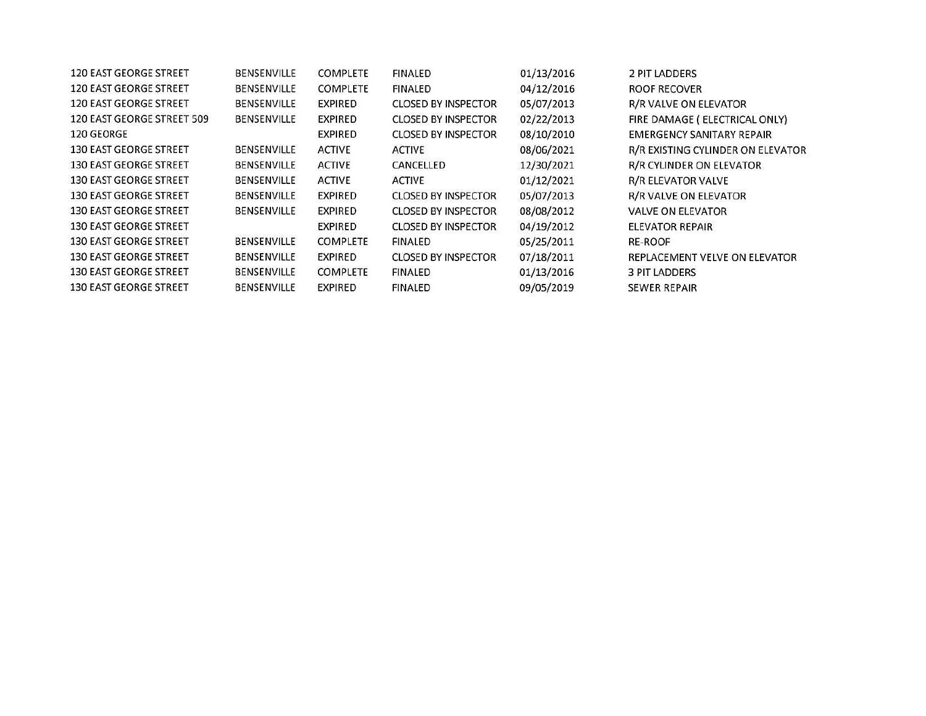| 120 EAST GEORGE STREET        | BENSENVILLE        | <b>COMPLETE</b> | <b>FINALED</b>             | 01/13/2016 | 2 PIT LADDERS                     |
|-------------------------------|--------------------|-----------------|----------------------------|------------|-----------------------------------|
| 120 EAST GEORGE STREET        | BENSENVILLE        | <b>COMPLETE</b> | <b>FINALED</b>             | 04/12/2016 | ROOF RECOVER                      |
| 120 EAST GEORGE STREET        | BENSENVILLE        | <b>EXPIRED</b>  | <b>CLOSED BY INSPECTOR</b> | 05/07/2013 | R/R VALVE ON ELEVATOR             |
| 120 EAST GEORGE STREET 509    | <b>BENSENVILLE</b> | <b>EXPIRED</b>  | <b>CLOSED BY INSPECTOR</b> | 02/22/2013 | FIRE DAMAGE ( ELECTRICAL ONLY)    |
| 120 GEORGE                    |                    | <b>EXPIRED</b>  | <b>CLOSED BY INSPECTOR</b> | 08/10/2010 | EMERGENCY SANITARY REPAIR         |
| 130 EAST GEORGE STREET        | BENSENVILLE        | <b>ACTIVE</b>   | <b>ACTIVE</b>              | 08/06/2021 | R/R EXISTING CYLINDER ON ELEVATOR |
| <b>130 EAST GEORGE STREET</b> | BENSENVILLE        | <b>ACTIVE</b>   | CANCELLED                  | 12/30/2021 | R/R CYLINDER ON ELEVATOR          |
| 130 EAST GEORGE STREET        | BENSENVILLE        | <b>ACTIVE</b>   | ACTIVE                     | 01/12/2021 | <b>R/R ELEVATOR VALVE</b>         |
| <b>130 EAST GEORGE STREET</b> | BENSENVILLE        | <b>EXPIRED</b>  | <b>CLOSED BY INSPECTOR</b> | 05/07/2013 | R/R VALVE ON ELEVATOR             |
| <b>130 EAST GEORGE STREET</b> | BENSENVILLE        | EXPIRED         | <b>CLOSED BY INSPECTOR</b> | 08/08/2012 | <b>VALVE ON ELEVATOR</b>          |
| 130 EAST GEORGE STREET        |                    | EXPIRED         | <b>CLOSED BY INSPECTOR</b> | 04/19/2012 | ELEVATOR REPAIR                   |
| 130 EAST GEORGE STREET        | BENSENVILLE        | COMPLETE        | <b>FINALED</b>             | 05/25/2011 | <b>RE-ROOF</b>                    |
| <b>130 EAST GEORGE STREET</b> | <b>BENSENVILLE</b> | EXPIRED         | <b>CLOSED BY INSPECTOR</b> | 07/18/2011 | REPLACEMENT VELVE ON ELEVATOR     |
| 130 EAST GEORGE STREET        | <b>BENSENVILLE</b> | <b>COMPLETE</b> | FINALED                    | 01/13/2016 | <b>3 PIT LADDERS</b>              |
| <b>130 EAST GEORGE STREET</b> | BENSENVILLE        | EXPIRED         | FINALED                    | 09/05/2019 | <b>SEWER REPAIR</b>               |
|                               |                    |                 |                            |            |                                   |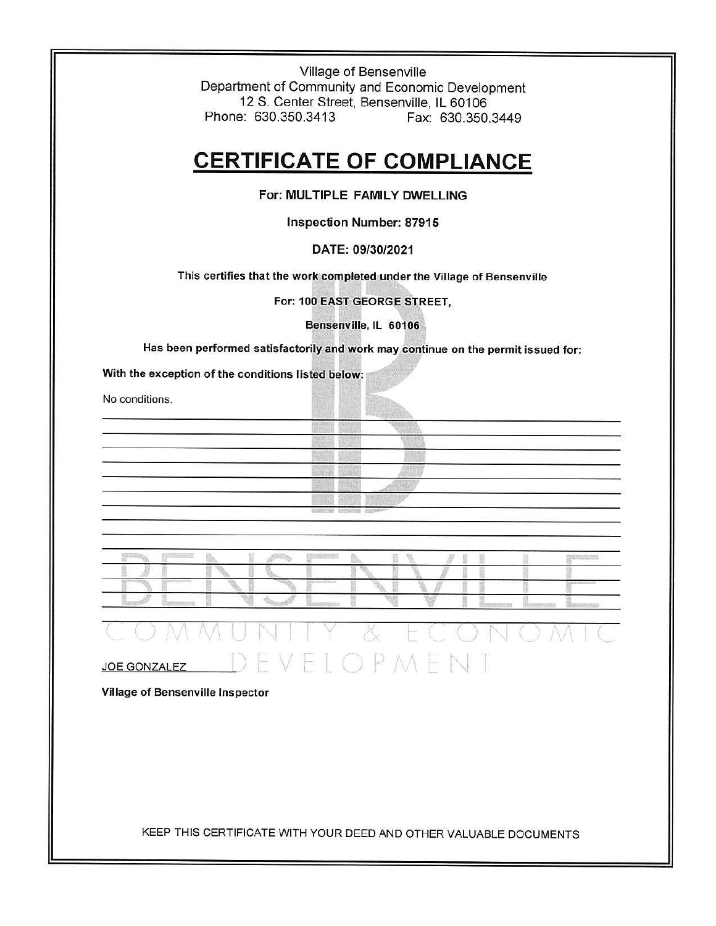Village of Bensenville Department of Community and Economic Development 12 S. Center Street, Bensenville, IL 60106 Phone: 630.350.3413 Fax: 630.350.3449

## **CERTIFICATE OF COMPLIANCE**

**For: MULTIPLE FAMILY DWELLING** 

**Inspection Number: 87915** 

### **DATE: 09/30/2021**

This certifies that the work completed under the Village of Bensenville

For: 100 EAST GEORGE STREET,

Bensenville, IL 60106

Has been performed satisfactorily and **work** may continue on the permit issued for:

With the exception of the conditions listed below:

No conditions.



|  | <b>1007.1000</b> |  |  |  |  |  |  |
|--|------------------|--|--|--|--|--|--|
|  |                  |  |  |  |  |  |  |

|                     |        | $\mathbb{N}$ i $\mathbb{N}$ |           |        |  |
|---------------------|--------|-----------------------------|-----------|--------|--|
| <b>JOE GONZALEZ</b> | $\sim$ |                             | JEVELOPMI | E<br>N |  |

Village of Bensenville Inspector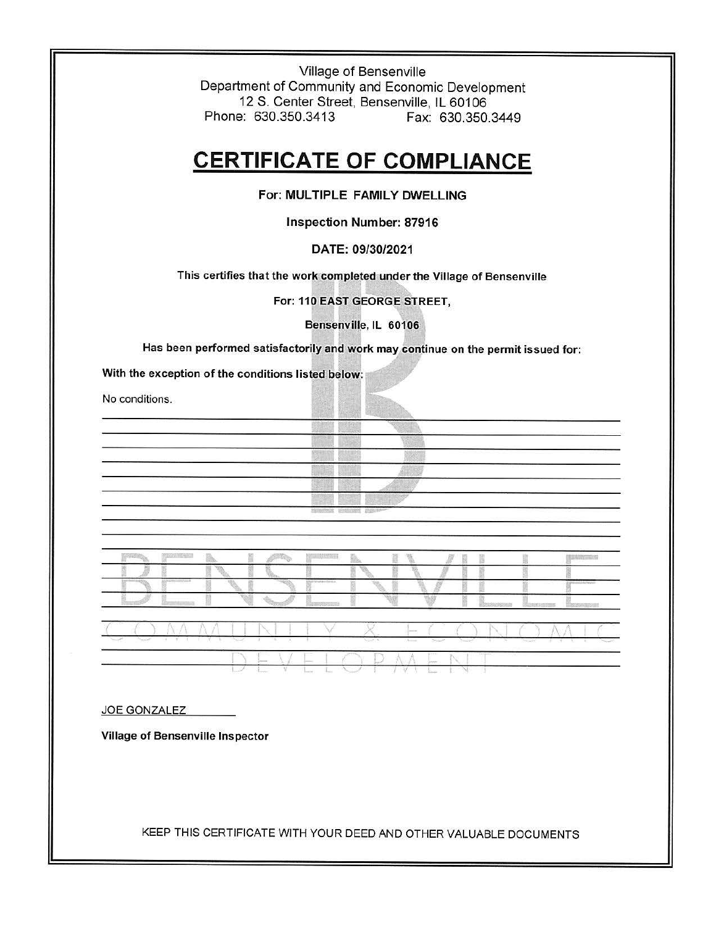Village of Bensenville Department of Community and Economic Development 12 S. Center Street, Bensenville, IL 60106 Phone: 630.350.3413 Fax: 630.350.3449

# **CERTIFICATE OF COMPLIANCE**

**For: MULTIPLE FAMILY DWELLING** 

**Inspection Number: 87916** 

## **DATE: 09/30/2021**

This certifies that the work completed under the Village of Bensenville

For: 110 **EASf** GEORGE STREET,

Bensenville, IL 60106

Has been performed satisfactorily and **work** may continue on the permit issued for:

With the exception of the conditions listed below:

No conditions.





### JOE GONZALEZ

Village of Bensenville Inspector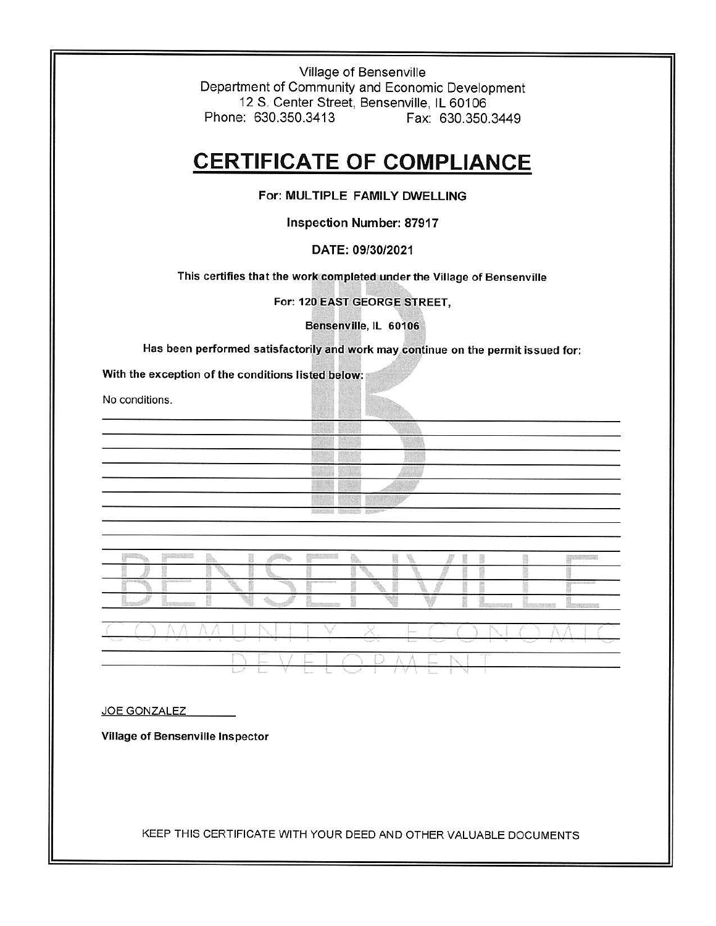Village of Bensenville Department of Community and Economic Development 12 S. Center Street, Bensenville, IL 60106 Phone: 630.350.3413 Fax: 630.350.3449

## **CERTIFICATE OF COMPLIANCE**

**For: MULTIPLE FAMILY DWELLING** 

Inspection **Number: 87917** 

### **DATE: 09/30/2021**

This certifies that the work completed under the Village of Bensenville

For: 120 EAST GEORGE StREET,

Bensenville, IL 60106

Has been performed satisfactorily and work may continue on the permit issued for:

With the exception of the conditions listed below:

No conditions.

|                           | 553425                        |                                                                             |  |
|---------------------------|-------------------------------|-----------------------------------------------------------------------------|--|
| and the state of the con- |                               |                                                                             |  |
|                           | 1952 B.C                      | <b><i>PERMIT</i></b>                                                        |  |
|                           | 220265730<br><b>10030-000</b> |                                                                             |  |
| making and all the first  |                               |                                                                             |  |
|                           |                               | <b><i>PERMIT</i></b>                                                        |  |
|                           |                               |                                                                             |  |
|                           | <b>SENISSI B</b>              | <b>NEDUCATOR</b><br>SHEER PPT<br>and the state of the state of the state of |  |
|                           |                               |                                                                             |  |



L L V E L K

 $\sim$  I

JOE GONZALEZ

**Village of Bensenville Inspector**